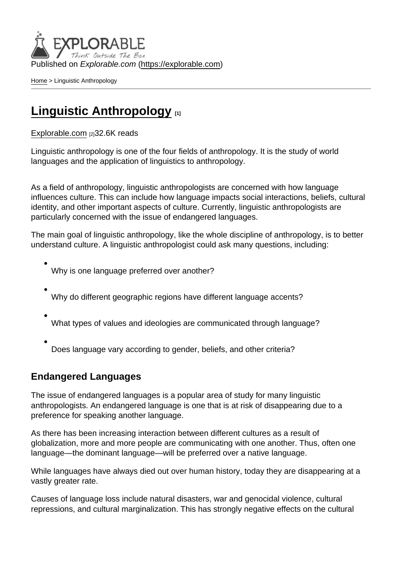Published on Explorable.com (<https://explorable.com>)

[Home](https://explorable.com/) > Linguistic Anthropology

## [Linguistic Anthropology](https://explorable.com/linguistic-anthropology) [1]

[Explorable.com](https://explorable.com/) [2]32.6K reads

Linguistic anthropology is one of the four fields of anthropology. It is the study of world languages and the application of linguistics to anthropology.

As a field of anthropology, linguistic anthropologists are concerned with how language influences culture. This can include how language impacts social interactions, beliefs, cultural identity, and other important aspects of culture. Currently, linguistic anthropologists are particularly concerned with the issue of endangered languages.

The main goal of linguistic anthropology, like the whole discipline of anthropology, is to better understand culture. A linguistic anthropologist could ask many questions, including:

- Why is one language preferred over another?
- Why do different geographic regions have different language accents?
- What types of values and ideologies are communicated through language?
- Does language vary according to gender, beliefs, and other criteria?

## Endangered Languages

The issue of endangered languages is a popular area of study for many linguistic anthropologists. An endangered language is one that is at risk of disappearing due to a preference for speaking another language.

As there has been increasing interaction between different cultures as a result of globalization, more and more people are communicating with one another. Thus, often one language—the dominant language—will be preferred over a native language.

While languages have always died out over human history, today they are disappearing at a vastly greater rate.

Causes of language loss include natural disasters, war and genocidal violence, cultural repressions, and cultural marginalization. This has strongly negative effects on the cultural